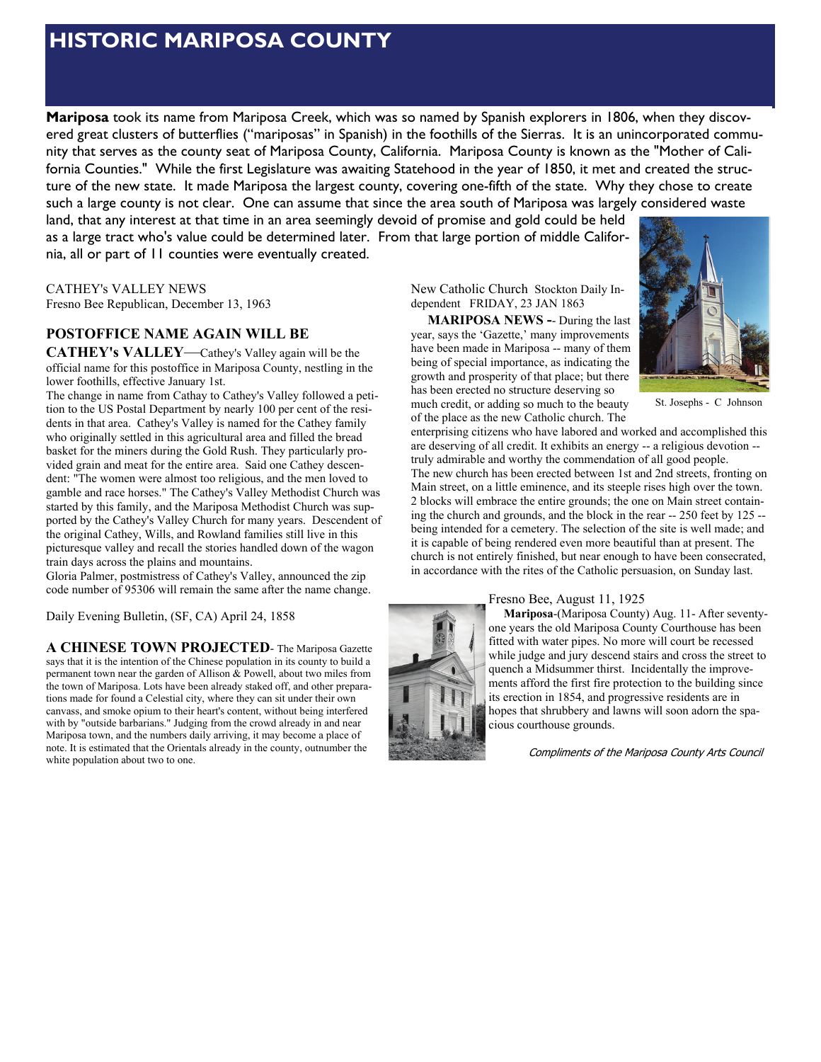# **HISTORIC MARIPOSA COUNTY**

**Mariposa** took its name from Mariposa Creek, which was so named by Spanish explorers in 1806, when they discovered great clusters of butterflies ("mariposas" in Spanish) in the foothills of the Sierras. It is an unincorporated community that serves as the county seat of Mariposa County, California. Mariposa County is known as the "Mother of California Counties." While the first Legislature was awaiting Statehood in the year of 1850, it met and created the structure of the new state. It made Mariposa the largest county, covering one-fifth of the state. Why they chose to create such a large county is not clear. One can assume that since the area south of Mariposa was largely considered waste

land, that any interest at that time in an area seemingly devoid of promise and gold could be held as a large tract who's value could be determined later. From that large portion of middle California, all or part of 11 counties were eventually created.

CATHEY's VALLEY NEWS Fresno Bee Republican, December 13, 1963

## **POSTOFFICE NAME AGAIN WILL BE**

**CATHEY's VALLEY**—Cathey's Valley again will be the official name for this postoffice in Mariposa County, nestling in the lower foothills, effective January 1st.

The change in name from Cathay to Cathey's Valley followed a petition to the US Postal Department by nearly 100 per cent of the residents in that area. Cathey's Valley is named for the Cathey family who originally settled in this agricultural area and filled the bread basket for the miners during the Gold Rush. They particularly provided grain and meat for the entire area. Said one Cathey descendent: "The women were almost too religious, and the men loved to gamble and race horses." The Cathey's Valley Methodist Church was started by this family, and the Mariposa Methodist Church was supported by the Cathey's Valley Church for many years. Descendent of the original Cathey, Wills, and Rowland families still live in this picturesque valley and recall the stories handled down of the wagon train days across the plains and mountains.

Gloria Palmer, postmistress of Cathey's Valley, announced the zip code number of 95306 will remain the same after the name change.

Daily Evening Bulletin, (SF, CA) April 24, 1858

**A CHINESE TOWN PROJECTED**- The Mariposa Gazette says that it is the intention of the Chinese population in its county to build a permanent town near the garden of Allison & Powell, about two miles from the town of Mariposa. Lots have been already staked off, and other preparations made for found a Celestial city, where they can sit under their own canvass, and smoke opium to their heart's content, without being interfered with by "outside barbarians." Judging from the crowd already in and near Mariposa town, and the numbers daily arriving, it may become a place of note. It is estimated that the Orientals already in the county, outnumber the white population about two to one.

New Catholic Church Stockton Daily Independent FRIDAY, 23 JAN 1863

 **MARIPOSA NEWS -**- During the last year, says the 'Gazette,' many improvements have been made in Mariposa -- many of them being of special importance, as indicating the growth and prosperity of that place; but there has been erected no structure deserving so

much credit, or adding so much to the beauty of the place as the new Catholic church. The

enterprising citizens who have labored and worked and accomplished this are deserving of all credit. It exhibits an energy -- a religious devotion - truly admirable and worthy the commendation of all good people. The new church has been erected between 1st and 2nd streets, fronting on Main street, on a little eminence, and its steeple rises high over the town. 2 blocks will embrace the entire grounds; the one on Main street containing the church and grounds, and the block in the rear -- 250 feet by 125 -- St. Josephs - C Johnson

being intended for a cemetery. The selection of the site is well made; and it is capable of being rendered even more beautiful than at present. The church is not entirely finished, but near enough to have been consecrated, in accordance with the rites of the Catholic persuasion, on Sunday last.

Fresno Bee, August 11, 1925

 **Mariposa**-(Mariposa County) Aug. 11- After seventyone years the old Mariposa County Courthouse has been fitted with water pipes. No more will court be recessed while judge and jury descend stairs and cross the street to quench a Midsummer thirst. Incidentally the improvements afford the first fire protection to the building since its erection in 1854, and progressive residents are in hopes that shrubbery and lawns will soon adorn the spacious courthouse grounds.

Compliments of the Mariposa County Arts Council



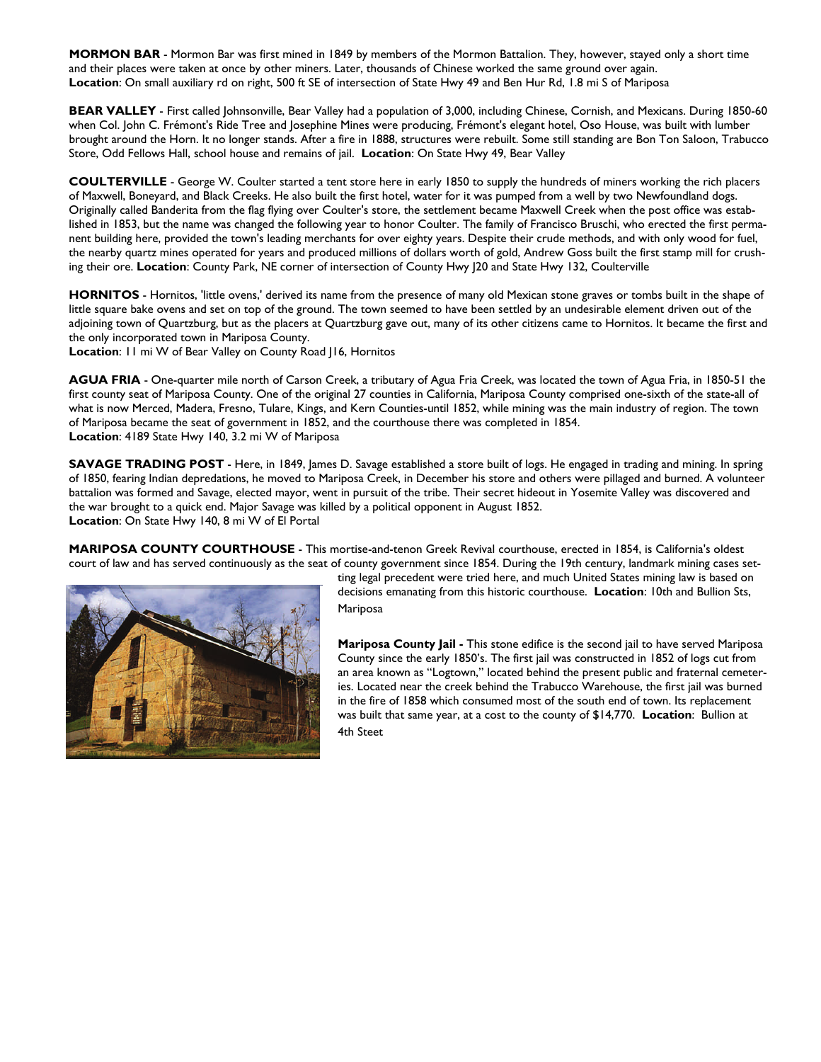**MORMON BAR** - Mormon Bar was first mined in 1849 by members of the Mormon Battalion. They, however, stayed only a short time and their places were taken at once by other miners. Later, thousands of Chinese worked the same ground over again. **Location**: On small auxiliary rd on right, 500 ft SE of intersection of State Hwy 49 and Ben Hur Rd, 1.8 mi S of Mariposa

**BEAR VALLEY** - First called Johnsonville, Bear Valley had a population of 3,000, including Chinese, Cornish, and Mexicans. During 1850-60 when Col. John C. Frémont's Ride Tree and Josephine Mines were producing, Frémont's elegant hotel, Oso House, was built with lumber brought around the Horn. It no longer stands. After a fire in 1888, structures were rebuilt. Some still standing are Bon Ton Saloon, Trabucco Store, Odd Fellows Hall, school house and remains of jail. **Location**: On State Hwy 49, Bear Valley

**COULTERVILLE** - George W. Coulter started a tent store here in early 1850 to supply the hundreds of miners working the rich placers of Maxwell, Boneyard, and Black Creeks. He also built the first hotel, water for it was pumped from a well by two Newfoundland dogs. Originally called Banderita from the flag flying over Coulter's store, the settlement became Maxwell Creek when the post office was established in 1853, but the name was changed the following year to honor Coulter. The family of Francisco Bruschi, who erected the first permanent building here, provided the town's leading merchants for over eighty years. Despite their crude methods, and with only wood for fuel, the nearby quartz mines operated for years and produced millions of dollars worth of gold, Andrew Goss built the first stamp mill for crushing their ore. **Location**: County Park, NE corner of intersection of County Hwy J20 and State Hwy 132, Coulterville

HORNITOS - Hornitos, 'little ovens,' derived its name from the presence of many old Mexican stone graves or tombs built in the shape of little square bake ovens and set on top of the ground. The town seemed to have been settled by an undesirable element driven out of the adjoining town of Quartzburg, but as the placers at Quartzburg gave out, many of its other citizens came to Hornitos. It became the first and the only incorporated town in Mariposa County.

**Location**: 11 mi W of Bear Valley on County Road J16, Hornitos

**AGUA FRIA** - One-quarter mile north of Carson Creek, a tributary of Agua Fria Creek, was located the town of Agua Fria, in 1850-51 the first county seat of Mariposa County. One of the original 27 counties in California, Mariposa County comprised one-sixth of the state-all of what is now Merced, Madera, Fresno, Tulare, Kings, and Kern Counties-until 1852, while mining was the main industry of region. The town of Mariposa became the seat of government in 1852, and the courthouse there was completed in 1854. **Location**: 4189 State Hwy 140, 3.2 mi W of Mariposa

**SAVAGE TRADING POST** - Here, in 1849, James D. Savage established a store built of logs. He engaged in trading and mining. In spring of 1850, fearing Indian depredations, he moved to Mariposa Creek, in December his store and others were pillaged and burned. A volunteer battalion was formed and Savage, elected mayor, went in pursuit of the tribe. Their secret hideout in Yosemite Valley was discovered and the war brought to a quick end. Major Savage was killed by a political opponent in August 1852. **Location**: On State Hwy 140, 8 mi W of El Portal

**MARIPOSA COUNTY COURTHOUSE** - This mortise-and-tenon Greek Revival courthouse, erected in 1854, is California's oldest court of law and has served continuously as the seat of county government since 1854. During the 19th century, landmark mining cases set-



ting legal precedent were tried here, and much United States mining law is based on decisions emanating from this historic courthouse. **Location**: 10th and Bullion Sts, Mariposa

**Mariposa County Jail -** This stone edifice is the second jail to have served Mariposa County since the early 1850's. The first jail was constructed in 1852 of logs cut from an area known as "Logtown," located behind the present public and fraternal cemeteries. Located near the creek behind the Trabucco Warehouse, the first jail was burned in the fire of 1858 which consumed most of the south end of town. Its replacement was built that same year, at a cost to the county of \$14,770. **Location**: Bullion at 4th Steet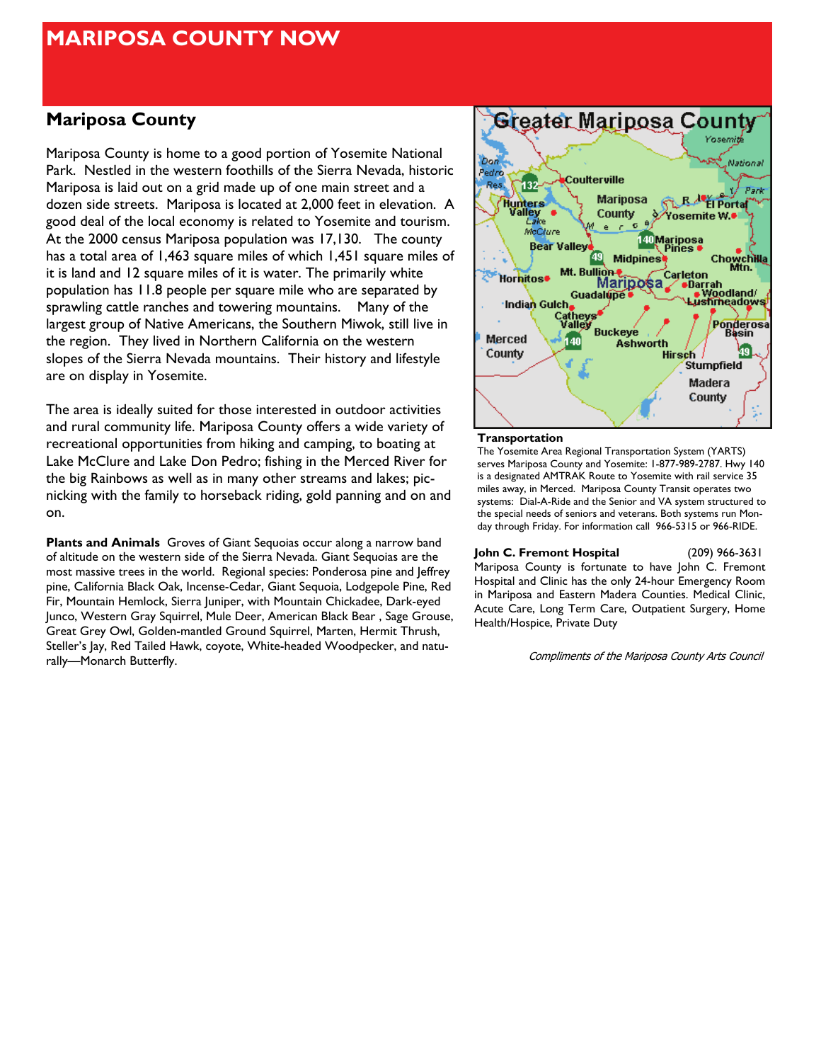# **MARIPOSA COUNTY NOW**

# **Mariposa County**

Mariposa County is home to a good portion of Yosemite National Park. Nestled in the western foothills of the Sierra Nevada, historic Mariposa is laid out on a grid made up of one main street and a dozen side streets. Mariposa is located at 2,000 feet in elevation. A good deal of the local economy is related to Yosemite and tourism. At the 2000 census Mariposa population was 17,130. The county has a total area of 1,463 square miles of which 1,451 square miles of it is land and 12 square miles of it is water. The primarily white population has 11.8 people per square mile who are separated by sprawling cattle ranches and towering mountains. Many of the largest group of Native Americans, the Southern Miwok, still live in the region. They lived in Northern California on the western slopes of the Sierra Nevada mountains. Their history and lifestyle are on display in Yosemite.

The area is ideally suited for those interested in outdoor activities and rural community life. Mariposa County offers a wide variety of recreational opportunities from hiking and camping, to boating at Lake McClure and Lake Don Pedro; fishing in the Merced River for the big Rainbows as well as in many other streams and lakes; picnicking with the family to horseback riding, gold panning and on and on.

**Plants and Animals** Groves of Giant Sequoias occur along a narrow band of altitude on the western side of the Sierra Nevada. Giant Sequoias are the most massive trees in the world. Regional species: Ponderosa pine and Jeffrey pine, California Black Oak, Incense-Cedar, Giant Sequoia, Lodgepole Pine, Red Fir, Mountain Hemlock, Sierra Juniper, with Mountain Chickadee, Dark-eyed Junco, Western Gray Squirrel, Mule Deer, American Black Bear , Sage Grouse, Great Grey Owl, Golden-mantled Ground Squirrel, Marten, Hermit Thrush, Steller's Jay, Red Tailed Hawk, coyote, White-headed Woodpecker, and naturally—Monarch Butterfly.



### **Transportation**

The Yosemite Area Regional Transportation System (YARTS) serves Mariposa County and Yosemite: 1-877-989-2787. Hwy 140 is a designated AMTRAK Route to Yosemite with rail service 35 miles away, in Merced. Mariposa County Transit operates two systems: Dial-A-Ride and the Senior and VA system structured to the special needs of seniors and veterans. Both systems run Monday through Friday. For information call 966-5315 or 966-RIDE.

### **John C. Fremont Hospital** (209) 966-3631

Mariposa County is fortunate to have John C. Fremont Hospital and Clinic has the only 24-hour Emergency Room in Mariposa and Eastern Madera Counties. Medical Clinic, Acute Care, Long Term Care, Outpatient Surgery, Home Health/Hospice, Private Duty

Compliments of the Mariposa County Arts Council